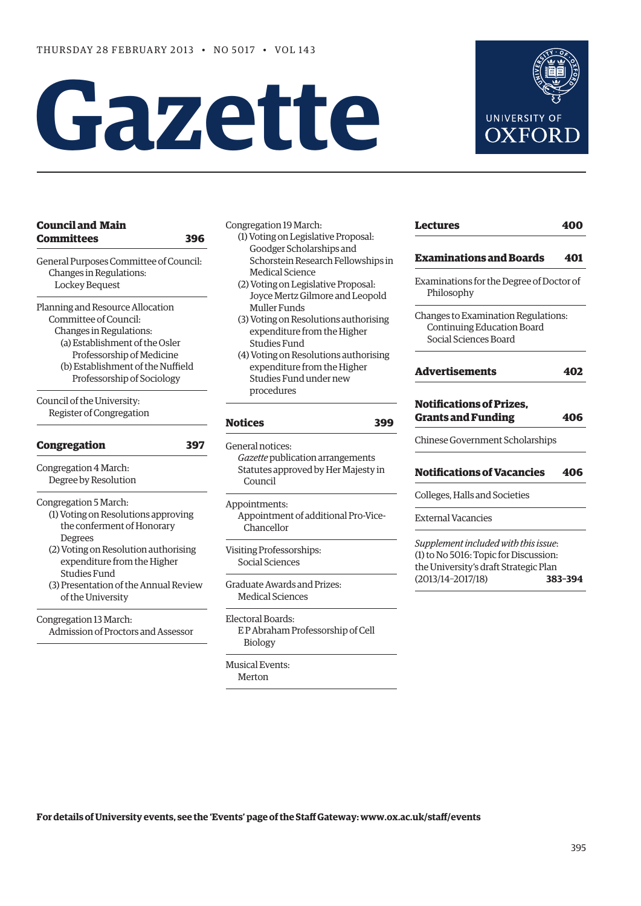# **Gazette**



# **[Council and Main](#page-1-0)  Committees 396**

General Purposes Committee of Council: Changes in Regulations: Lockey Bequest

Planning and Resource Allocation Committee of Council: Changes in Regulations:

- (a) Establishment of the Osler
- Professorship of Medicine (b) Establishment of the Nuffield Professorship of Sociology

Council of the University: Register of Congregation

# **[Congregation 397](#page-2-0)**

Congregation 4 March: Degree by Resolution

Congregation 5 March:

- (1) Voting on Resolutions approving the conferment of Honorary Degrees
- (2) Voting on Resolution authorising expenditure from the Higher Studies Fund
- (3) Presentation of the Annual Review of the University

Congregation 13 March: Admission of Proctors and Assessor Congregation 19 March:

- (1) Voting on Legislative Proposal: Goodger Scholarships and Schorstein Research Fellowships in Medical Science
- (2) Voting on Legislative Proposal: Joyce Mertz Gilmore and Leopold Muller Funds
- (3) Voting on Resolutions authorising expenditure from the Higher Studies Fund
- (4) Voting on Resolutions authorising expenditure from the Higher Studies Fund under new procedures

# **[Notices](#page-4-0) 399**

General notices: *Gazette* publication arrangements Statutes approved by Her Majesty in Council

Appointments: Appointment of additional Pro-Vice- Chancellor

Visiting Professorships: Social Sciences

Graduate Awards and Prizes: Medical Sciences

Electoral Boards: E P Abraham Professorship of Cell Biology

Musical Events: Merton

| Lectures                                                                                   | 400 |
|--------------------------------------------------------------------------------------------|-----|
| <b>Examinations and Boards</b>                                                             | 401 |
| Examinations for the Degree of Doctor of<br>Philosophy                                     |     |
| Changes to Examination Regulations:<br>Continuing Education Board<br>Social Sciences Board |     |
| <b>Advertisements</b>                                                                      | 402 |
| <b>Notifications of Prizes.</b><br><b>Grants and Funding</b>                               | 406 |
| Chinese Government Scholarships                                                            |     |

**[Notifications of Vacancies 406](#page-11-0)**

Colleges, Halls and Societies

External Vacancies

*Supplement included with this issue*: (1) to No 5016: Topic for Discussion: the University's draft Strategic Plan (2013/14–2017/18) **383–394**

**For details of University events, see the 'Events' page of the Staff Gateway: www.ox.ac.uk/staff/events**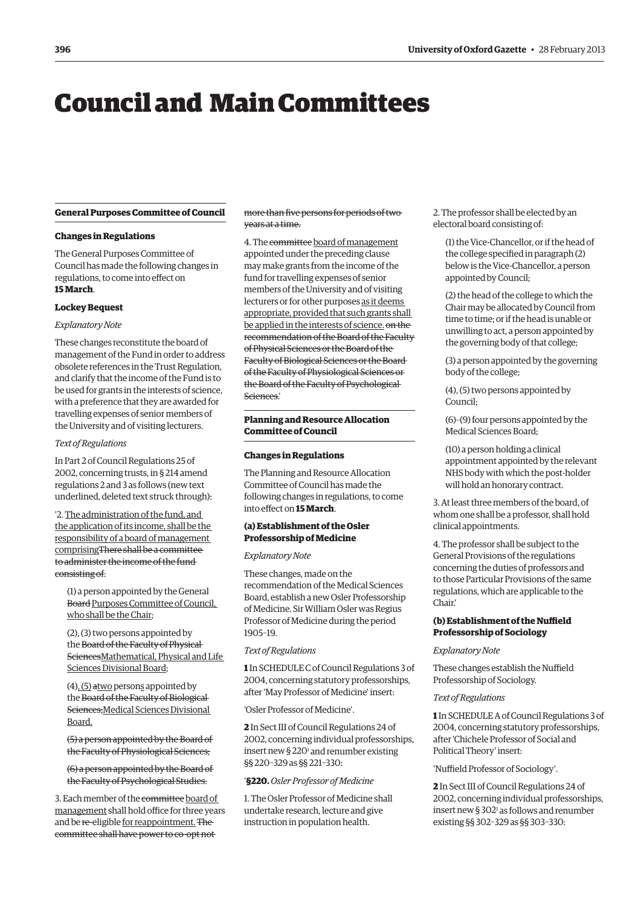# <span id="page-1-0"></span>Council and Main Committees

# **General Purposes Committee of Council**

# **Changes in Regulations**

The General Purposes Committee of Council has made the following changes in regulations, to come into effect on **15 March**.

# **Lockey Bequest**

# *Explanatory Note*

These changes reconstitute the board of management of the Fund in order to address obsolete references in the Trust Regulation, and clarify that the income of the Fund is to be used for grants in the interests of science, with a preference that they are awarded for travelling expenses of senior members of the University and of visiting lecturers.

# *Text of Regulations*

In Part 2 of Council Regulations 25 of 2002, concerning trusts, in § 214 amend regulations 2 and 3 as follows (new text underlined, deleted text struck through):

'2. The administration of the fund, and the application of its income, shall be the responsibility of a board of management comprisingThere shall be a committee to administer the income of the fund consisting of:

(1) a person appointed by the General Board Purposes Committee of Council, who shall be the Chair;

(2), (3) two persons appointed by the Board of the Faculty of Physical SciencesMathematical, Physical and Life Sciences Divisional Board;

(4), (5) atwo persons appointed by the Board of the Faculty of Biological Sciences;Medical Sciences Divisional Board.

(5) a person appointed by the Board of the Faculty of Physiological Sciences;

(6) a person appointed by the Board of the Faculty of Psychological Studies.

3. Each member of the committee board of management shall hold office for three years and be re-eligible for reappointment. The committee shall have power to co-opt not

more than five persons for periods of two years at a time.

4. The committee board of management appointed under the preceding clause may make grants from the income of the fund for travelling expenses of senior members of the University and of visiting lecturers or for other purposes as it deems appropriate, provided that such grants shall be applied in the interests of science. on the recommendation of the Board of the Faculty of Physical Sciences or the Board of the Faculty of Biological Sciences or the Board of the Faculty of Physiological Sciences or the Board of the Faculty of Psychological Sciences.'

# **Planning and Resource Allocation Committee of Council**

# **Changes in Regulations**

The Planning and Resource Allocation Committee of Council has made the following changes in regulations, to come into effect on **15 March**.

# **(a) Establishment of the Osler Professorship of Medicine**

*Explanatory Note*

These changes, made on the recommendation of the Medical Sciences Board, establish a new Osler Professorship of Medicine. Sir William Osler was Regius Professor of Medicine during the period 1905–19.

## *Text of Regulations*

**1** In SCHEDULE C of Council Regulations 3 of 2004, concerning statutory professorships, after 'May Professor of Medicine' insert:

'Osler Professor of Medicine'.

**2** In Sect III of Council Regulations 24 of 2002, concerning individual professorships, insert new § 220<sup>1</sup> and renumber existing §§ 220–329 as §§ 221–330:

# '**§220.***Osler Professor of Medicine*

1. The Osler Professor of Medicine shall undertake research, lecture and give instruction in population health.

2. The professor shall be elected by an electoral board consisting of:

(1) the Vice-Chancellor, or if the head of the college specified in paragraph (2) below is the Vice-Chancellor, a person appointed by Council;

(2) the head of the college to which the Chair may be allocated by Council from time to time; or if the head is unable or unwilling to act, a person appointed by the governing body of that college;

(3) a person appointed by the governing body of the college;

(4), (5) two persons appointed by Council;

(6)–(9) four persons appointed by the Medical Sciences Board;

(10) a person holding a clinical appointment appointed by the relevant NHS body with which the post-holder will hold an honorary contract.

3. At least three members of the board, of whom one shall be a professor, shall hold clinical appointments.

4. The professor shall be subject to the General Provisions of the regulations concerning the duties of professors and to those Particular Provisions of the same regulations, which are applicable to the Chair.'

# **(b) Establishment of the Nuffield Professorship of Sociology**

## *Explanatory Note*

These changes establish the Nuffield Professorship of Sociology.

## *Text of Regulations*

**1** In SCHEDULEA of Council Regulations 3 of 2004, concerning statutory professorships, after 'Chichele Professor of Social and Political Theory' insert:

'Nuffield Professor of Sociology'.

**2** In Sect III of Council Regulations 24 of 2002, concerning individual professorships, insert new  $\S 302^{\text{i}}$  as follows and renumber existing §§ 302–329 as §§ 303–330: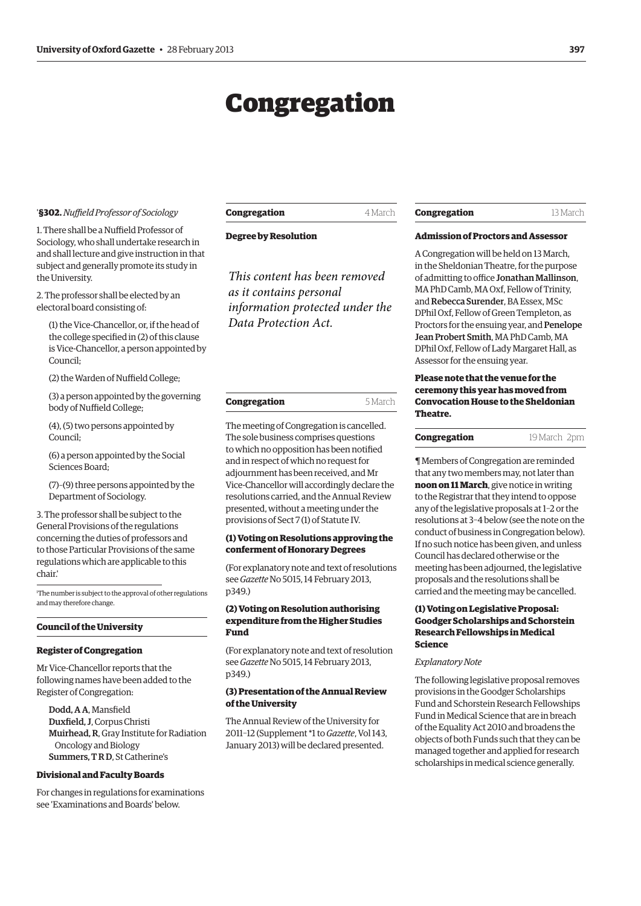# Congregation

#### <span id="page-2-0"></span>'**§302.***Nuffield Professor of Sociology*

1. There shall be a Nuffield Professor of Sociology, who shall undertake research in and shall lecture and give instruction in that subject and generally promote its study in the University.

2. The professor shall be elected by an electoral board consisting of:

(1) the Vice-Chancellor, or, if the head of the college specified in (2) of this clause is Vice-Chancellor, a person appointed by Council;

(2) the Warden of Nuffield College;

(3) a person appointed by the governing body of Nuffield College;

(4), (5) two persons appointed by Council;

(6) a person appointed by the Social Sciences Board;

(7)–(9) three persons appointed by the Department of Sociology.

3. The professor shall be subject to the General Provisions of the regulations concerning the duties of professors and to those Particular Provisions of the same regulations which are applicable to this chair.'

1 The number is subject to the approval of other regulations and may therefore change.

# **Council of the University**

#### **Register of Congregation**

Mr Vice-Chancellor reports that the following names have been added to the Register of Congregation:

Dodd, A A, Mansfield Duxfield, J, Corpus Christi Muirhead, R, Gray Institute for Radiation Oncology and Biology Summers, T R D, St Catherine's

#### **Divisional and Faculty Boards**

For changes in regulations for examinations see 'Examinations and Boards' below.

# **Congregation** 4 March

**Degree by Resolution**

*This content has been removed as it contains personal information protected under the Data Protection Act.*

The meeting of Congregation is cancelled. The sole business comprises questions to which no opposition has been notified and in respect of which no request for adjournment has been received, and Mr Vice-Chancellor will accordingly declare the resolutions carried, and the Annual Review presented, without a meeting under the provisions of Sect 7 (1) of Statute IV.

# **(1) Voting on Resolutions approving the conferment of Honorary Degrees**

(For explanatory note and text of resolutions see *Gazette* No 5015, 14 February 2013, p349.)

# **(2) Voting on Resolution authorising expenditure from the Higher Studies Fund**

(For explanatory note and text of resolution see *Gazette* No 5015, 14 February 2013, p349.)

# **(3) Presentation of the Annual Review of the University**

The Annual Review of the University for 2011–12 (Supplement \*1 to *Gazette*, Vol 143, January 2013) will be declared presented.

#### **Congregation** 13 March

# **Admission of Proctors and Assessor**

A Congregation will be held on 13 March, in the Sheldonian Theatre, for the purpose of admitting to office Jonathan Mallinson, MA PhD Camb, MAOxf, Fellow of Trinity, and Rebecca Surender, BA Essex, MSc DPhil Oxf, Fellow of Green Templeton, as Proctors for the ensuing year, and Penelope Jean Probert Smith, MA PhD Camb, MA DPhil Oxf, Fellow of Lady Margaret Hall, as Assessor for the ensuing year.

# **Please note that the venue for the ceremony this year has moved from Convocation House to the Sheldonian Theatre.**

#### **Congregation** 19 March 2pm

¶ Members of Congregation are reminded that any two members may, not later than **noon on 11 March**, give notice in writing to the Registrar that they intend to oppose any of the legislative proposals at 1–2 or the resolutions at 3–4 below (see the note on the conduct of business in Congregation below). If no such notice has been given, and unless Council has declared otherwise or the meeting has been adjourned, the legislative proposals and the resolutions shall be carried and the meeting may be cancelled.

# **(1) Voting on Legislative Proposal: Goodger Scholarships and Schorstein Research Fellowships in Medical Science**

#### *Explanatory Note*

The following legislative proposal removes provisions in the Goodger Scholarships Fund and Schorstein Research Fellowships Fund in Medical Science that are in breach of the Equality Act 2010 and broadens the objects of both Funds such that they can be managed together and applied for research scholarships in medical science generally.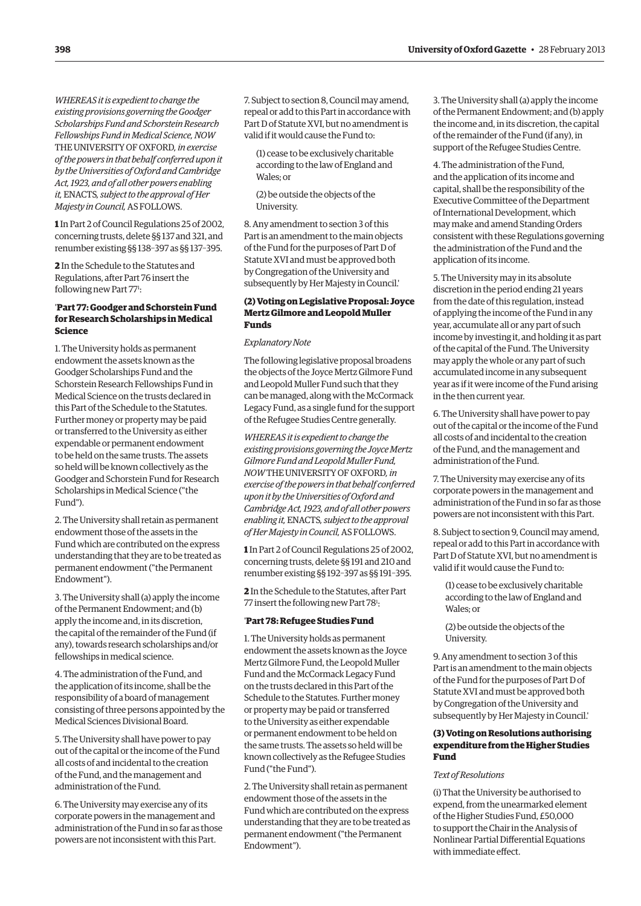*WHEREAS it is expedient to change the existing provisions governing the Goodger Scholarships Fund and Schorstein Research Fellowships Fund in Medical Science, NOW* THE UNIVERSITY OF OXFORD, in exercise *of the powers in that behalf conferred upon it by the Universities of Oxford and Cambridge Act, 1923, and of all other powers enabling it,* ENACTS*, subject to the approval of Her Majesty in Council,*AS FOLLOWS.

**1** In Part 2 of Council Regulations 25 of 2002, concerning trusts, delete §§ 137 and 321, and renumber existing §§ 138–397 as §§ 137–395.

**2** In the Schedule to the Statutes and Regulations, after Part 76 insert the following new Part 77<sup>1</sup>:

# '**Part 77: Goodger and Schorstein Fund for Research Scholarships in Medical Science**

1. The University holds as permanent endowment the assets known as the Goodger Scholarships Fund and the Schorstein Research Fellowships Fund in Medical Science on the trusts declared in this Part of the Schedule to the Statutes. Further money or property may be paid or transferred to the University as either expendable or permanent endowment to be held on the same trusts. The assets so held will be known collectively as the Goodger and Schorstein Fund for Research Scholarships in Medical Science ("the Fund").

2. The University shall retain as permanent endowment those of the assets in the Fund which are contributed on the express understanding that they are to be treated as permanent endowment ("the Permanent Endowment").

3. The University shall (a) apply the income of the Permanent Endowment; and (b) apply the income and, in its discretion, the capital of the remainder of the Fund (if any), towards research scholarships and/or fellowships in medical science.

4. The administration of the Fund, and the application of its income, shall be the responsibility of a board of management consisting of three persons appointed by the Medical Sciences Divisional Board.

5. The University shall have power to pay out of the capital or the income of the Fund all costs of and incidental to the creation of the Fund, and the management and administration of the Fund.

6. The University may exercise any of its corporate powers in the management and administration of the Fund in so far as those powers are not inconsistent with this Part.

7. Subject to section 8, Council may amend, repeal or add to this Part in accordance with Part D of Statute XVI, but no amendment is valid if it would cause the Fund to:

(1) cease to be exclusively charitable according to the law of England and Wales; or

(2) be outside the objects of the University.

8. Any amendment to section 3 of this Part is an amendment to the main objects of the Fund for the purposes of Part D of Statute XVI and must be approved both by Congregation of the University and subsequently by Her Majesty in Council.'

# **(2) Voting on Legislative Proposal: Joyce Mertz Gilmore and Leopold Muller Funds**

### *Explanatory Note*

The following legislative proposal broadens the objects of the Joyce Mertz Gilmore Fund and Leopold Muller Fund such that they can be managed, along with the McCormack Legacy Fund, as a single fund for the support of the Refugee Studies Centre generally.

*WHEREAS it is expedient to change the existing provisions governing the Joyce Mertz Gilmore Fund and Leopold Muller Fund,*  **NOW THE UNIVERSITY OF OXFORD, in** *exercise of the powers in that behalf conferred upon it by the Universities of Oxford and Cambridge Act, 1923, and of all other powers enabling it,* ENACTS*, subject to the approval of Her Majesty in Council,*AS FOLLOWS.

**1** In Part 2 of Council Regulations 25 of 2002, concerning trusts, delete §§ 191 and 210 and renumber existing §§ 192–397 as §§ 191–395.

**2** In the Schedule to the Statutes, after Part 77 insert the following new Part 781:

#### '**Part 78: Refugee Studies Fund**

1. The University holds as permanent endowment the assets known as the Joyce Mertz Gilmore Fund, the Leopold Muller Fund and the McCormack Legacy Fund on the trusts declared in this Part of the Schedule to the Statutes. Further money or property may be paid or transferred to the University as either expendable or permanent endowment to be held on the same trusts. The assets so held will be known collectively as the Refugee Studies Fund ("the Fund").

2. The University shall retain as permanent endowment those of the assets in the Fund which are contributed on the express understanding that they are to be treated as permanent endowment ("the Permanent Endowment").

3. The University shall (a) apply the income of the Permanent Endowment; and (b) apply the income and, in its discretion, the capital of the remainder of the Fund (if any), in support of the Refugee Studies Centre.

4. The administration of the Fund, and the application of its income and capital, shall be the responsibility of the Executive Committee of the Department of International Development, which may make and amend Standing Orders consistent with these Regulations governing the administration of the Fund and the application of its income.

5. The University may in its absolute discretion in the period ending 21 years from the date of this regulation, instead of applying the income of the Fund in any year, accumulate all or any part of such income by investing it, and holding it as part of the capital of the Fund. The University may apply the whole or any part of such accumulated income in any subsequent year as if it were income of the Fund arising in the then current year.

6. The University shall have power to pay out of the capital or the income of the Fund all costs of and incidental to the creation of the Fund, and the management and administration of the Fund.

7. The University may exercise any of its corporate powers in the management and administration of the Fund in so far as those powers are not inconsistent with this Part.

8. Subject to section 9, Council may amend, repeal or add to this Part in accordance with Part D of Statute XVI, but no amendment is valid if it would cause the Fund to:

(1) cease to be exclusively charitable according to the law of England and Wales; or

(2) be outside the objects of the University.

9. Any amendment to section 3 of this Part is an amendment to the main objects of the Fund for the purposes of Part D of Statute XVI and must be approved both by Congregation of the University and subsequently by Her Majesty in Council.'

# **(3) Voting on Resolutions authorising expenditure from the Higher Studies Fund**

# *Text of Resolutions*

(i) That the University be authorised to expend, from the unearmarked element of the Higher Studies Fund, £50,000 to support the Chair in the Analysis of Nonlinear Partial Differential Equations with immediate effect.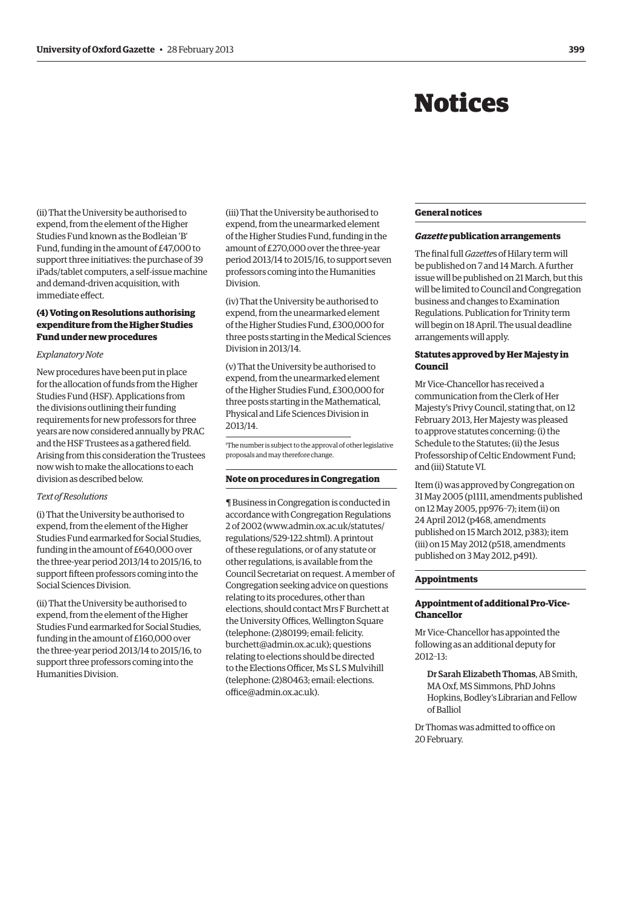# Notices

<span id="page-4-0"></span>(ii) That the University be authorised to expend, from the element of the Higher Studies Fund known as the Bodleian 'B' Fund, funding in the amount of £47,000 to support three initiatives: the purchase of 39 iPads/tablet computers, a self-issue machine and demand-driven acquisition, with immediate effect.

# **(4) Voting on Resolutions authorising expenditure from the Higher Studies Fund under new procedures**

#### *Explanatory Note*

New procedures have been put in place for the allocation of funds from the Higher Studies Fund (HSF). Applications from the divisions outlining their funding requirements for new professors for three years are now considered annually by PRAC and the HSF Trustees as a gathered field. Arising from this consideration the Trustees now wish to make the allocations to each division as described below.

#### *Text of Resolutions*

(i) That the University be authorised to expend, from the element of the Higher Studies Fund earmarked for Social Studies, funding in the amount of £640,000 over the three-year period 2013/14 to 2015/16, to support fifteen professors coming into the Social Sciences Division.

(ii) That the University be authorised to expend, from the element of the Higher Studies Fund earmarked for Social Studies, funding in the amount of £160,000 over the three-year period 2013/14 to 2015/16, to support three professors coming into the Humanities Division.

(iii) That the University be authorised to expend, from the unearmarked element of the Higher Studies Fund, funding in the amount of £270,000 over the three-year period 2013/14 to 2015/16, to support seven professors coming into the Humanities Division.

(iv) That the University be authorised to expend, from the unearmarked element of the Higher Studies Fund, £300,000 for three posts starting in the Medical Sciences Division in 2013/14.

(v) That the University be authorised to expend, from the unearmarked element of the Higher Studies Fund, £300,000 for three posts starting in the Mathematical, Physical and Life Sciences Division in 2013/14.

1 The number is subject to the approval of other legislative proposals and may therefore change.

#### **Note on procedures in Congregation**

¶ Business in Congregation is conducted in accordance with Congregation Regulations [2 of 2002 \(www.admin.ox.ac.uk/statutes/](www.admin.ox.ac.uk/statutes/regulations/529-122.shtml) regulations/529-122.shtml). A printout of these regulations, or of any statute or other regulations, is available from the Council Secretariat on request. A member of Congregation seeking advice on questions relating to its procedures, other than elections, should contact Mrs F Burchett at the University Offices, Wellington Square (telephone: (2)80199; email: felicity. [burchett@admin.ox.ac.uk\); questions](mailto:felicity.burchett@admin.ox.ac.uk)  relating to elections should be directed to the Elections Officer, Ms S L S Mulvihill [\(telephone: \(2\)80463; email: elections.](mailto:elections.office@admin.ox.ac.uk) office@admin.ox.ac.uk).

# **General notices**

#### *Gazette* **publication arrangements**

The final full *Gazette*s of Hilary term will be published on 7 and 14 March. A further issue will be published on 21 March, but this will be limited to Council and Congregation business and changes to Examination Regulations. Publication for Trinity term will begin on 18 April. The usual deadline arrangements will apply.

# **Statutes approved by Her Majesty in Council**

Mr Vice-Chancellor has received a communication from the Clerk of Her Majesty's Privy Council, stating that, on 12 February 2013, Her Majesty was pleased to approve statutes concerning: (i) the Schedule to the Statutes; (ii) the Jesus Professorship of Celtic Endowment Fund; and (iii) Statute VI.

Item (i) was approved by Congregation on 31 May 2005 (p1111, amendments published on 12 May 2005, pp976–7); item (ii) on 24 April 2012 (p468, amendments published on 15 March 2012, p383); item (iii) on 15 May 2012 (p518, amendments published on 3 May 2012, p491).

#### **Appointments**

# **Appointment of additional Pro-Vice-Chancellor**

Mr Vice-Chancellor has appointed the following as an additional deputy for 2012–13:

Dr Sarah Elizabeth Thomas, AB Smith, MAOxf, MS Simmons, PhD Johns Hopkins, Bodley's Librarian and Fellow of Balliol

Dr Thomas was admitted to office on 20 February.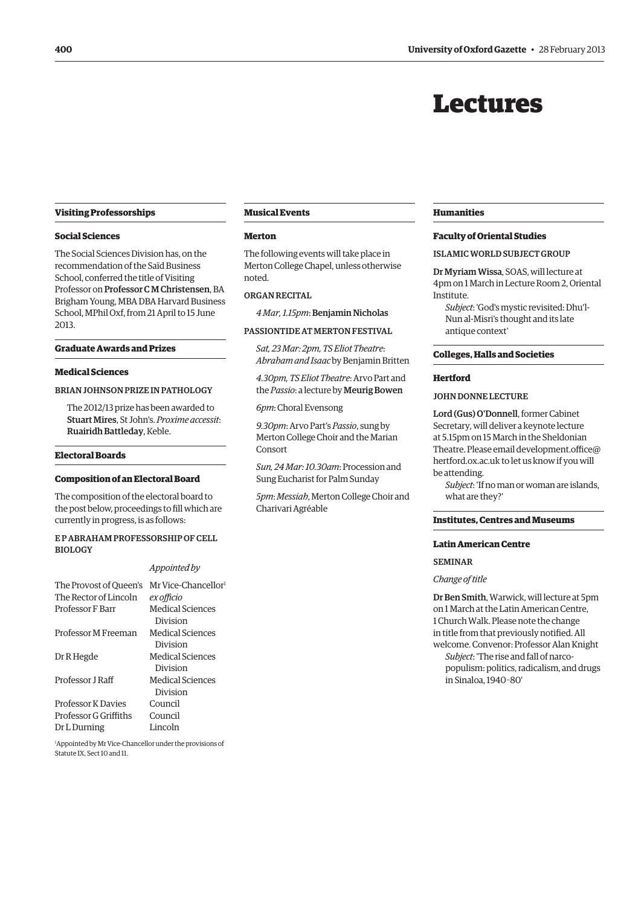# Lectures

## <span id="page-5-0"></span>**Visiting Professorships**

### **Social Sciences**

The Social Sciences Division has, on the recommendation of the Saïd Business School, conferred the title of Visiting Professor on Professor C M Christensen, BA Brigham Young, MBA DBA Harvard Business School, MPhil Oxf, from 21 April to 15 June 2013.

# **Graduate Awards and Prizes**

# **Medical Sciences**

# BRIAN JOHNSON PRIZE IN PATHOLOGY

The 2012/13 prize has been awarded to Stuart Mires, St John's. *Proxime accessit*: Ruairidh Battleday, Keble.

## **Electoral Boards**

# **Composition of an Electoral Board**

The composition of the electoral board to the post below, proceedings to fill which are currently in progress, is as follows:

# E P Abraham Professorship of Cell Biology

#### *Appointed by*

| The Provost of Queen's    | Mr Vice-Chancellor <sup>1</sup> |
|---------------------------|---------------------------------|
| The Rector of Lincoln     | ex officio                      |
| <b>Professor F Barr</b>   | Medical Sciences                |
|                           | Division                        |
| Professor M Freeman       | Medical Sciences                |
|                           | Division                        |
| Dr R Hegde                | Medical Sciences                |
|                           | Division                        |
| Professor LRaff           | Medical Sciences                |
|                           | Division                        |
| <b>Professor K Davies</b> | Council                         |
| Professor G Griffiths     | Council                         |
| Dr L Durning              | Lincoln                         |

1 Appointed by Mr Vice-Chancellor under the provisions of Statute IX, Sect 10 and 11.

#### **Musical Events**

#### **Merton**

The following events will take place in Merton College Chapel, unless otherwise noted.

#### Organ Recital

*4 Mar, 1.15pm*: Benjamin Nicholas

#### PASSIONTIDE AT MERTON FESTIVAL

*Sat, 23 Mar: 2pm, TS Eliot Theatre*: *Abraham and Isaac* by Benjamin Britten

*4.30pm, TS Eliot Theatre*: Arvo Part and the *Passio*: a lecture by Meurig Bowen

*6pm*: Choral Evensong

*9.30pm*: Arvo Part's *Passio*, sung by Merton College Choir and the Marian Consort

*Sun, 24 Mar: 10.30am*: Procession and Sung Eucharist for Palm Sunday

*5pm*: *Messiah*, Merton College Choir and Charivari Agréable

#### **Humanities**

#### **Faculty of Oriental Studies**

#### ISLAMIC WORLD SUBJECT GROUP

Dr Myriam Wissa, SOAS, will lecture at 4pm on 1 March in Lecture Room 2, Oriental Institute.

*Subject*: 'God's mystic revisited: Dhu'l-Nun al-Misri's thought and its late antique context'

#### **Colleges, Halls and Societies**

# **Hertford**

#### John Donne Lecture

Lord (Gus) O'Donnell, former Cabinet Secretary, will deliver a keynote lecture at 5.15pm on 15 March in the Sheldonian [Theatre. Please email development.office@](mailto:development.office@hertford.ox.ac.uk) hertford.ox.ac.uk to let us know if you will be attending.

*Subject*: 'If no man or woman are islands, what are they?'

# **Institutes, Centres and Museums**

#### **Latin American Centre**

#### **SEMINAR**

#### *Change of title*

Dr Ben Smith, Warwick, will lecture at 5pm on 1 March at the Latin American Centre, 1 Church Walk. Please note the change in title from that previously notified. All welcome. Convenor: Professor Alan Knight *Subject*: 'The rise and fall of narcopopulism: politics, radicalism, and drugs in Sinaloa, 1940–80'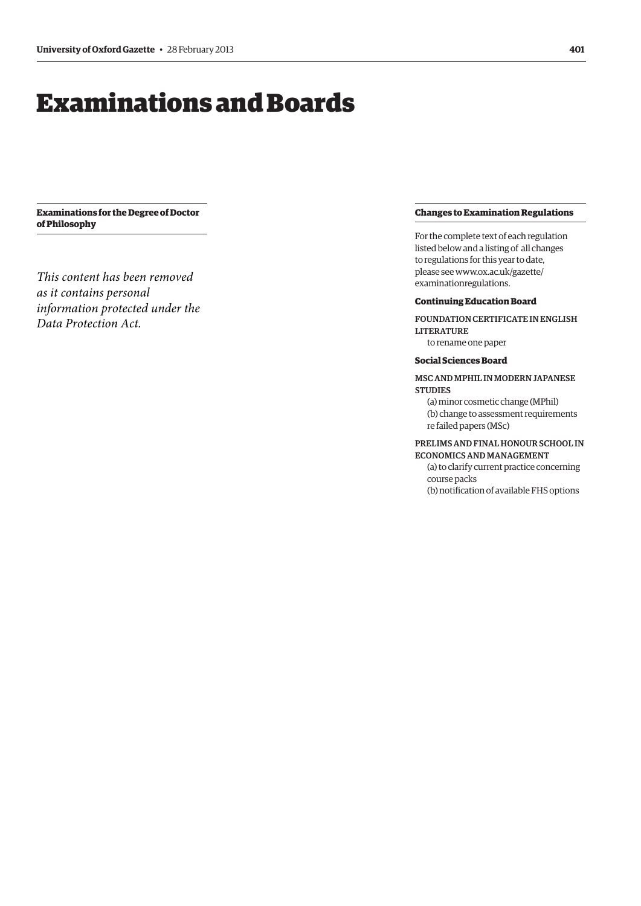# <span id="page-6-0"></span>Examinations and Boards

**Examinations for the Degree of Doctor of Philosophy**

*This content has been removed as it contains personal information protected under the Data Protection Act.*

## **Changes to Examination Regulations**

For the complete text of each regulation listed below and a listing of all changes to regulations for this year to date, [please see www.ox.ac.uk/gazette/](www.ox.ac.uk/gazette/examinationregulations) examinationregulations.

# **Continuing Education Board**

Foundation Certificate in English **LITERATURE** 

to rename one paper

# **Social Sciences Board**

# MSC AND MPHIL IN MODERN JAPANESE **STUDIES**

(a) minor cosmetic change (MPhil) (b) change to assessment requirements re failed papers (MSc)

# PRELIMS AND FINAL HONOUR SCHOOL IN Economicsand Management

(a) to clarify current practice concerning course packs (b) notification of available FHS options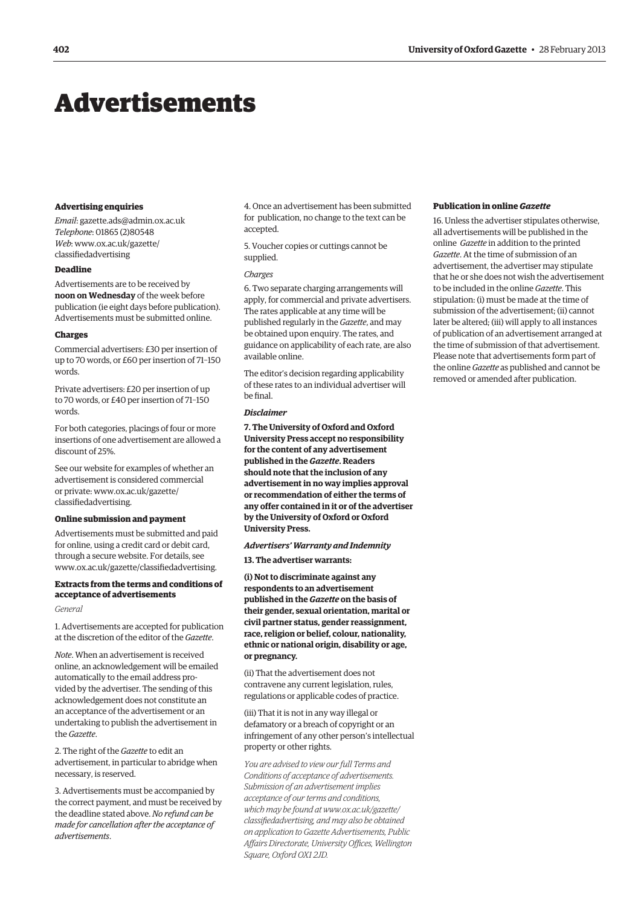# <span id="page-7-0"></span>Advertisements

#### **Advertising enquiries**

*Email*: gazette.ads@admin.ox.ac.uk *Telephone*: 01865 (2)80548 *Web*[: www.ox.ac.uk/gazette/](www.ox.ac.uk/gazette/classifiedadvertising) classifiedadvertising

# **Deadline**

Advertisements are to be received by **noon on Wednesday** of the week before publication (ie eight days before publication). Advertisements must be submitted online.

## **Charges**

Commercial advertisers: £30 per insertion of up to 70 words, or £60 per insertion of 71–150 words.

Private advertisers: £20 per insertion of up to 70 words, or £40 per insertion of 71–150 words.

For both categories, placings of four or more insertions of one advertisement are allowed a discount of 25%.

See our website for examples of whether an advertisement is considered commercial [or private: www.ox.ac.uk/gazette/](www.ox.ac.uk/gazette/classifiedadvertising) classifiedadvertising.

#### **Online submission and payment**

Advertisements must be submitted and paid for online, using a credit card or debit card, through a secure website. For details, see [www.ox.ac.uk/gazette/classifiedadvertising.](www.ox.ac.uk/gazette/classifiedadvertising)

# **Extracts from the terms and conditions of acceptance of advertisements**

#### *General*

1. Advertisements are accepted for publication at the discretion of the editor of the *Gazette*.

*Note*. When an advertisement is received online, an acknowledgement will be emailed automatically to the email address provided by the advertiser. The sending of this acknowledgement does not constitute an an acceptance of the advertisement or an undertaking to publish the advertisement in the *Gazette*.

2. The right of the *Gazette* to edit an advertisement, in particular to abridge when necessary, is reserved.

3. Advertisements must be accompanied by the correct payment, and must be received by the deadline stated above. *No refund can be made for cancellation after the acceptance of advertisements*.

4. Once an advertisement has been submitted for publication, no change to the text can be accepted.

5. Voucher copies or cuttings cannot be supplied.

#### *Charges*

6. Two separate charging arrangements will apply, for commercial and private advertisers. The rates applicable at any time will be published regularly in the *Gazette*, and may be obtained upon enquiry. The rates, and guidance on applicability of each rate, are also available online.

The editor's decision regarding applicability of these rates to an individual advertiser will be final.

# *Disclaimer*

**7. The University of Oxford and Oxford University Press accept no responsibility for the content of any advertisement published in the** *Gazette***. Readers should note that the inclusion of any advertisement in no way implies approval or recommendation of either the terms of any offer contained in it or of the advertiser by the University of Oxford or Oxford University Press.**

*Advertisers' Warranty and Indemnity*

**13. The advertiser warrants:**

**(i) Not to discriminate against any respondents to an advertisement published in the** *Gazette* **on the basis of their gender, sexual orientation, marital or civil partner status, gender reassignment, race, religion or belief, colour, nationality, ethnic or national origin, disability or age, or pregnancy.**

(ii) That the advertisement does not contravene any current legislation, rules, regulations or applicable codes of practice.

(iii) That it is not in any way illegal or defamatory or a breach of copyright or an infringement of any other person's intellectual property or other rights.

*You are advised to view our full Terms and Conditions of acceptance of advertisements. Submission of an advertisement implies acceptance of our terms and conditions, which may be found at www.ox.ac.uk/gazette/ [classifiedadvertising, and may also be obtained](www.ox.ac.uk/gazette/classifiedadvertising)  on application to Gazette Advertisements, Public Affairs Directorate, University Offices, Wellington Square, Oxford OX1 2JD.*

## **Publication in online** *Gazette*

16. Unless the advertiser stipulates otherwise, all advertisements will be published in the online *Gazette* in addition to the printed *Gazette*. At the time of submission of an advertisement, the advertiser may stipulate that he or she does not wish the advertisement to be included in the online *Gazette*. This stipulation: (i) must be made at the time of submission of the advertisement; (ii) cannot later be altered; (iii) will apply to all instances of publication of an advertisement arranged at the time of submission of that advertisement. Please note that advertisements form part of the online *Gazette* as published and cannot be removed or amended after publication.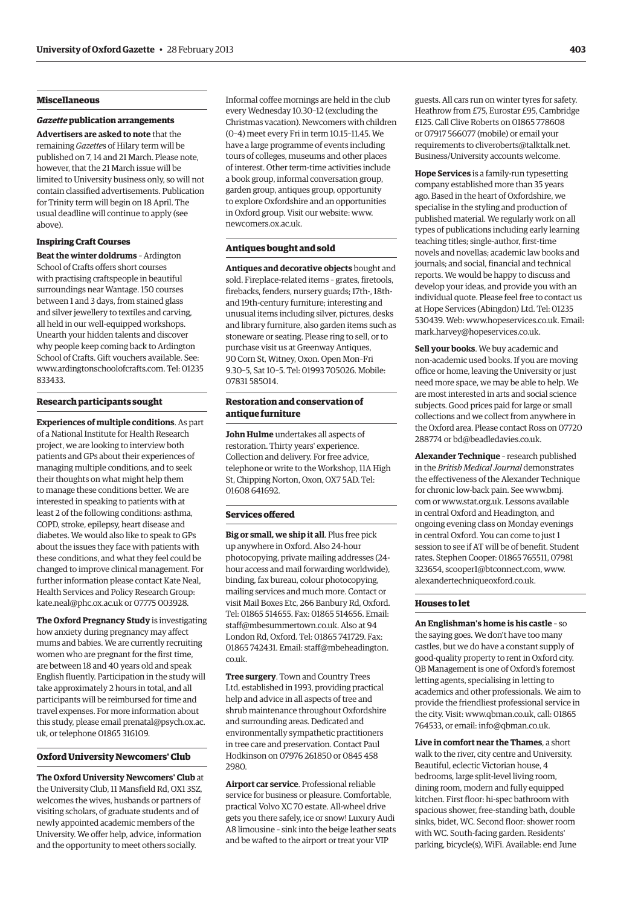# **Miscellaneous**

#### *Gazette* **publication arrangements**

**Advertisers are asked to note** that the remaining *Gazette*s of Hilary term will be published on 7, 14 and 21 March. Please note, however, that the 21 March issue will be limited to University business only, so will not contain classified advertisements. Publication for Trinity term will begin on 18 April. The usual deadline will continue to apply (see above).

# **Inspiring Craft Courses**

**Beat the winter doldrums** – Ardington School of Crafts offers short courses with practising craftspeople in beautiful surroundings near Wantage. 150 courses between 1 and 3 days, from stained glass and silver jewellery to textiles and carving, all held in our well-equipped workshops. Unearth your hidden talents and discover why people keep coming back to Ardington School of Crafts. Gift vouchers available. See: [www.ardingtonschoolofcrafts.com.](www.ardingtonschoolofcrafts.com) Tel: 01235 833433.

#### **Research participants sought**

**Experiences of multiple conditions**. As part of a National Institute for Health Research project, we are looking to interview both patients and GPs about their experiences of managing multiple conditions, and to seek their thoughts on what might help them to manage these conditions better. We are interested in speaking to patients with at least 2 of the following conditions: asthma, COPD, stroke, epilepsy, heart disease and diabetes. We would also like to speak to GPs about the issues they face with patients with these conditions, and what they feel could be changed to improve clinical management. For further information please contact Kate Neal, Health Services and Policy Research Group: kate.neal@phc.ox.ac.uk or 07775 003928.

**The Oxford Pregnancy Study** is investigating how anxiety during pregnancy may affect mums and babies. We are currently recruiting women who are pregnant for the first time, are between 18 and 40 years old and speak English fluently. Participation in the study will take approximately 2 hours in total, and all participants will be reimbursed for time and travel expenses. For more information about [this study, please email prenatal@psych.ox.ac.](mailto:prenatal@psych.ox.ac.uk) uk, or telephone 01865 316109.

#### **Oxford University Newcomers' Club**

**The Oxford University Newcomers' Club** at the University Club, 11 Mansfield Rd, OX1 3SZ, welcomes the wives, husbands or partners of visiting scholars, of graduate students and of newly appointed academic members of the University. We offer help, advice, information and the opportunity to meet others socially.

Informal coffee mornings are held in the club every Wednesday 10.30–12 (excluding the Christmas vacation). Newcomers with children (0–4) meet every Fri in term 10.15–11.45. We have a large programme of events including tours of colleges, museums and other places of interest. Other term-time activities include a book group, informal conversation group, garden group, antiques group, opportunity to explore Oxfordshire and an opportunities [in Oxford group. Visit our website: www.](www.newcomers.ox.ac.uk) newcomers.ox.ac.uk.

# **Antiques bought and sold**

**Antiques and decorative objects** bought and sold. Fireplace-related items – grates, firetools, firebacks, fenders, nursery guards; 17th-, 18thand 19th-century furniture; interesting and unusual items including silver, pictures, desks and library furniture, also garden items such as stoneware or seating. Please ring to sell, or to purchase visit us at Greenway Antiques, 90 Corn St, Witney, Oxon. Open Mon–Fri 9.30–5, Sat 10–5. Tel: 01993 705026. Mobile: 07831 585014.

# **Restoration and conservation of antique furniture**

**John Hulme** undertakes all aspects of restoration. Thirty years' experience. Collection and delivery. For free advice, telephone or write to the Workshop, 11A High St, Chipping Norton, Oxon, OX7 5AD. Tel: 01608 641692.

## **Services offered**

**Big or small, we ship it all**. Plus free pick up anywhere in Oxford. Also 24-hour photocopying, private mailing addresses (24 hour access and mail forwarding worldwide), binding, fax bureau, colour photocopying, mailing services and much more. Contact or visit Mail Boxes Etc, 266 Banbury Rd, Oxford. Tel: 01865 514655. Fax: 01865 514656. Email: staff@mbesummertown.co.uk. Also at 94 London Rd, Oxford. Tel: 01865 741729. Fax: [01865 742431. Email: staff@mbeheadington.](mailto:staff@mbeheadington.co.uk) co.uk.

**Tree surgery**. Town and Country Trees Ltd, established in 1993, providing practical help and advice in all aspects of tree and shrub maintenance throughout Oxfordshire and surrounding areas. Dedicated and environmentally sympathetic practitioners in tree care and preservation. Contact Paul Hodkinson on 07976 261850 or 0845 458 2980.

**Airport car service**. Professional reliable service for business or pleasure. Comfortable, practical Volvo XC 70 estate. All-wheel drive gets you there safely, ice or snow! Luxury Audi A8 limousine – sink into the beige leather seats and be wafted to the airport or treat your VIP

guests. All cars run on winter tyres for safety. Heathrow from £75, Eurostar £95, Cambridge £125. Call Clive Roberts on 01865 778608 or 07917 566077 (mobile) or email your [requirements to cliveroberts@talktalk.net.](mailto:cliveroberts@talktalk.net)  Business/University accounts welcome.

**Hope Services** is a family-run typesetting company established more than 35 years ago. Based in the heart of Oxfordshire, we specialise in the styling and production of published material. We regularly work on all types of publications including early learning teaching titles; single-author, first-time novels and novellas; academic law books and journals; and social, financial and technical reports. We would be happy to discuss and develop your ideas, and provide you with an individual quote. Please feel free to contact us at Hope Services (Abingdon) Ltd. Tel: 01235 [530439. Web: www.hopeservices.co.uk.](www.hopeservices.co.uk) Email: [mark.harvey@hopeservices.co.uk.](mailto:mark.harvey@hopeservices.co.uk)

**Sell your books**. We buy academic and non-academic used books. If you are moving office or home, leaving the University or just need more space, we may be able to help. We are most interested in arts and social science subjects. Good prices paid for large or small collections and we collect from anywhere in the Oxford area. Please contact Ross on 07720 [288774 or bd@beadledavies.co.uk.](mailto:bd@beadledavies.co.uk)

**Alexander Technique** – research published in the *British Medical Journal* demonstrates the effectiveness of the Alexander Technique [for chronic low-back pain. See www.bmj.](www.bmj.com) com or www.stat.org.uk. Lessons available in central Oxford and Headington, and ongoing evening class on Monday evenings in central Oxford. You can come to just 1 session to see if AT will be of benefit. Student rates. Stephen Cooper: 01865 765511, 07981 323654, scooper1@btconnect.com, www. [alexandertechniqueoxford.co.uk.](www.alexandertechniqueoxford.co.uk) 

#### **Houses to let**

**An Englishman's home is his castle** – so the saying goes. We don't have too many castles, but we do have a constant supply of good-quality property to rent in Oxford city. QB Management is one of Oxford's foremost letting agents, specialising in letting to academics and other professionals. We aim to provide the friendliest professional service in the city. Visit: www.qbman.co.uk, call: 01865 [764533, or email: info@qbman.co.uk.](mailto:info@qbman.co.uk)

**Live in comfort near the Thames**, a short walk to the river, city centre and University. Beautiful, eclectic Victorian house, 4 bedrooms, large split-level living room, dining room, modern and fully equipped kitchen. First floor: hi-spec bathroom with spacious shower, free-standing bath, double sinks, bidet, WC. Second floor: shower room with WC. South-facing garden. Residents' parking, bicycle(s), WiFi. Available: end June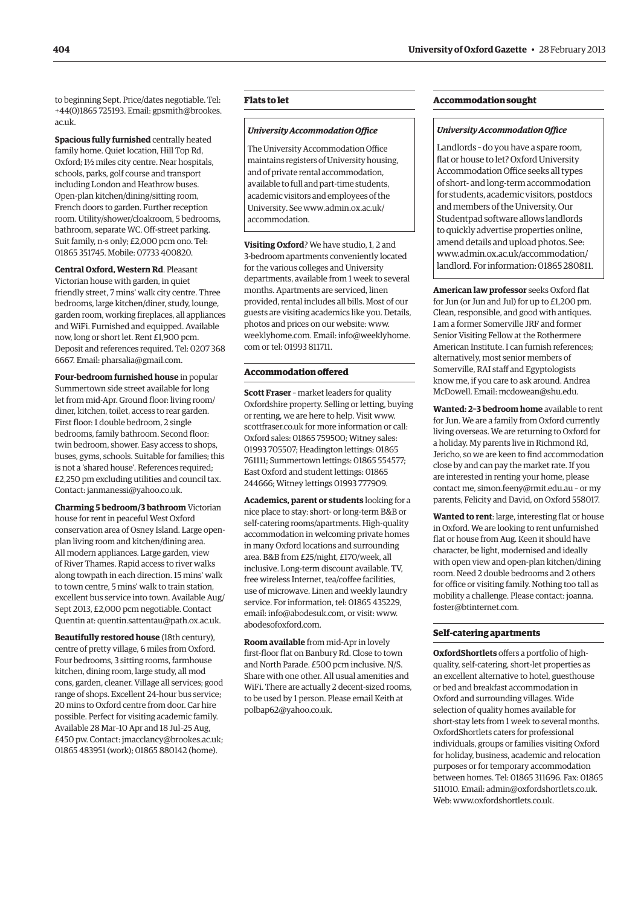to beginning Sept. Price/dates negotiable. Tel: [+44\(0\)1865 725193. Email: gpsmith@brookes.](mailto:gpsmith@brookes.ac.uk) ac.uk.

**Spacious fully furnished** centrally heated family home. Quiet location, Hill Top Rd, Oxford; 1½ miles city centre. Near hospitals, schools, parks, golf course and transport including London and Heathrow buses. Open-plan kitchen/dining/sitting room, French doors to garden. Further reception room. Utility/shower/cloakroom, 5 bedrooms, bathroom, separate WC. Off-street parking. Suit family, n-s only; £2,000 pcm ono. Tel: 01865 351745. Mobile: 07733 400820.

# **Central Oxford, Western Rd**. Pleasant

Victorian house with garden, in quiet friendly street, 7 mins' walk city centre. Three bedrooms, large kitchen/diner, study, lounge, garden room, working fireplaces, all appliances and WiFi. Furnished and equipped. Available now, long or short let. Rent £1,900 pcm. Deposit and references required. Tel: 0207 368 [6667. Email: pharsalia@gmail.com.](mailto:pharsalia@gmail.com)

**Four-bedroom furnished house** in popular Summertown side street available for long let from mid-Apr. Ground floor: living room/ diner, kitchen, toilet, access to rear garden. First floor: 1 double bedroom, 2 single bedrooms, family bathroom. Second floor: twin bedroom, shower. Easy access to shops, buses, gyms, schools. Suitable for families; this is not a 'shared house'. References required; £2,250 pm excluding utilities and council tax. [Contact: janmanessi@yahoo.co.uk.](mailto:janmanessi@yahoo.co.uk)

**Charming 5 bedroom/3 bathroom** Victorian house for rent in peaceful West Oxford conservation area of Osney Island. Large openplan living room and kitchen/dining area. All modern appliances. Large garden, view of River Thames. Rapid access to river walks along towpath in each direction. 15 mins' walk to town centre, 5 mins' walk to train station, excellent bus service into town. Available Aug/ Sept 2013, £2,000 pcm negotiable. Contact [Quentin at: quentin.sattentau@path.ox.ac.uk.](mailto:quentin.sattentau@path.ox.ac.uk)

**Beautifully restored house** (18th century), centre of pretty village, 6 miles from Oxford. Four bedrooms, 3 sitting rooms, farmhouse kitchen, dining room, large study, all mod cons, garden, cleaner. Village all services; good range of shops. Excellent 24-hour bus service; 20 mins to Oxford centre from door. Car hire possible. Perfect for visiting academic family. Available 28 Mar–10 Apr and 18 Jul–25 Aug, £450 pw. Contact: jmacclancy@brookes.ac.uk; 01865 483951 (work); 01865 880142 (home).

# **Flats to let**

#### *University Accommodation Office*

The University Accommodation Office maintains registers of University housing, and of private rental accommodation, available to full and part-time students, academic visitors and employees of the [University. See www.admin.ox.ac.uk/](www.admin.ox.ac.uk/accommodation)  accommodation.ꆱ

**Visiting Oxford**? We have studio, 1, 2 and 3-bedroom apartments conveniently located for the various colleges and University departments, available from 1 week to several months. Apartments are serviced, linen provided, rental includes all bills. Most of our guests are visiting academics like you. Details, [photos and prices o](www.weeklyhome.com)n our website: www. weeklyhome.com. [Email: info@weeklyhome.](mailto:info@weeklyhome.com) com or tel: 01993 811711.

# **Accommodation offered**

**Scott Fraser** – market leaders for quality Oxfordshire property. Selling or letting, buying or renting, we are here to help. Visit www. [scottfraser.co.uk for more information or call:](www.scottfraser.co.uk)  Oxford sales: 01865 759500; Witney sales: 01993 705507; Headington lettings: 01865 761111; Summertown lettings: 01865 554577; East Oxford and student lettings: 01865 244666; Witney lettings 01993 777909.

**Academics, parent or students** looking for a nice place to stay: short- or long-term B&B or self-catering rooms/apartments. High-quality accommodation in welcoming private homes in many Oxford locations and surrounding area. B&B from £25/night, £170/week, all inclusive. Long-term discount available. TV, free wireless Internet, tea/coffee facilities, use of microwave. Linen and weekly laundry service. For information, tel: 01865 435229, email: info@abodesuk.com, or visit: www. [abodesofoxford.com.](www.abodesofoxford.com)

**Room available** from mid-Apr in lovely first-floor flat on Banbury Rd. Close to town and North Parade. £500 pcm inclusive. N/S. Share with one other. All usual amenities and WiFi. There are actually 2 decent-sized rooms, to be used by 1 person. Please email Keith at [polbap62@yahoo.co.uk.](mailto:polbap62@yahoo.co.uk)

# **Accommodation sought**

#### *University Accommodation Office*

Landlords – do you have a spare room, flat or house to let? Oxford University Accommodation Office seeks all types of short- and long-term accommodation for students, academic visitors, postdocs and members of the University. Our Studentpad software allows landlords to quickly advertise properties online, amend details and upload photos. See: www.admin.ox.ac.uk/accommodation/ [landlord. For information: 01865 280811.](www.admin.ox.ac.uk/accommodation/landlord)

**American law professor** seeks Oxford flat for Jun (or Jun and Jul) for up to £1,200 pm. Clean, responsible, and good with antiques. I am a former Somerville JRF and former Senior Visiting Fellow at the Rothermere American Institute. I can furnish references; alternatively, most senior members of Somerville, RAI staff and Egyptologists know me, if you care to ask around. Andrea [McDowell. Email: mcdowean@shu.edu.](mailto:mcdowean@shu.edu)

**Wanted: 2–3 bedroom home** available to rent for Jun. We are a family from Oxford currently living overseas. We are returning to Oxford for a holiday. My parents live in Richmond Rd, Jericho, so we are keen to find accommodation close by and can pay the market rate. If you are interested in renting your home, please contact me, simon.feeny@rmit.edu.au – or my parents, Felicity and David, on Oxford 558017.

**Wanted to rent**: large, interesting flat or house in Oxford. We are looking to rent unfurnished flat or house from Aug. Keen it should have character, be light, modernised and ideally with open view and open-plan kitchen/dining room. Need 2 double bedrooms and 2 others for office or visiting family. Nothing too tall as [mobility a challenge. Please contact: joanna.](mailto:joanna.foster@btinternet.com) foster@btinternet.com.

#### **Self-catering apartments**

**OxfordShortlets** offers a portfolio of highquality, self-catering, short-let properties as an excellent alternative to hotel, guesthouse or bed and breakfast accommodation in Oxford and surrounding villages. Wide selection of quality homes available for short-stay lets from 1 week to several months. OxfordShortlets caters for professional individuals, groups or families visiting Oxford for holiday, business, academic and relocation purposes or for temporary accommodation between homes. Tel: 01865 311696. Fax: 01865 511010. Email: admin@oxfordshortlets.co.uk. [Web: www.oxfordshortlets.co.uk.](www.oxfordshortlets.co.uk)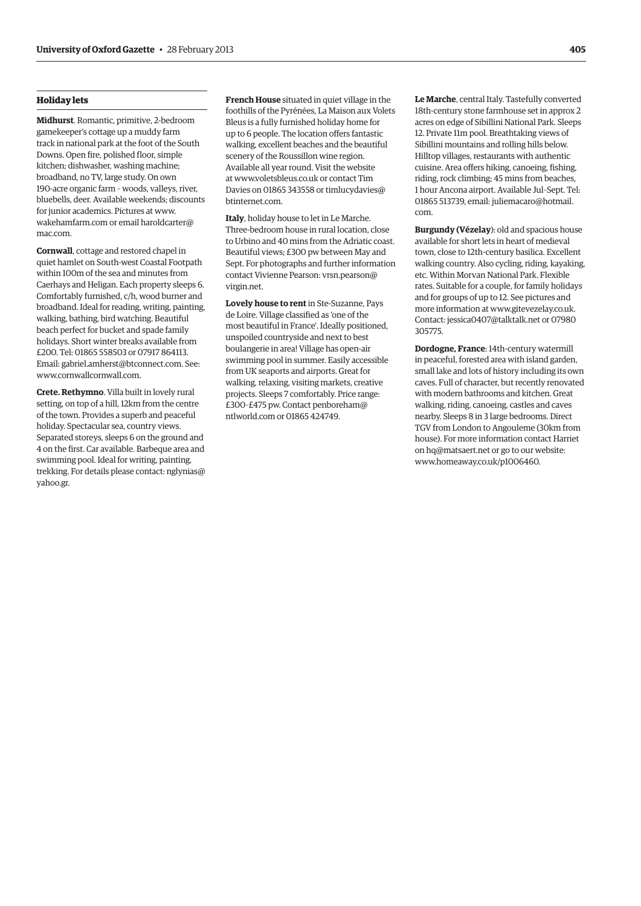# **Holiday lets**

**Midhurst**. Romantic, primitive, 2-bedroom gamekeeper's cottage up a muddy farm track in national park at the foot of the South Downs. Open fire, polished floor, simple kitchen; dishwasher, washing machine; broadband, no TV, large study. On own 190-acre organic farm – woods, valleys, river, bluebells, deer. Available weekends; discounts [for junior academics](www.wakehamfarm.com). Pictures at www. wakehamfarm.com or [email haroldcarter@](mailto:haroldcarter@mac.com) mac.com.

**Cornwall**, cottage and restored chapel in quiet hamlet on South-west Coastal Footpath within 100m of the sea and minutes from Caerhays and Heligan. Each property sleeps 6. Comfortably furnished, c/h, wood burner and broadband. Ideal for reading, writing, painting, walking, bathing, bird watching. Beautiful beach perfect for bucket and spade family holidays. Short winter breaks available from £200. Tel: 01865 558503 or 07917 864113. Email: gabriel.amherst@btconnect.com. See: [www.cornwallcornwall.com.](www.cornwallcornwall.com)

**Crete. Rethymno**. Villa built in lovely rural setting, on top of a hill, 12km from the centre of the town. Provides a superb and peaceful holiday. Spectacular sea, country views. Separated storeys, sleeps 6 on the ground and 4 on the first. Car available. Barbeque area and swimming pool. Ideal for writing, painting, [trekking. For details please contact: nglynias@](mailto:nglynias@yahoo.gr) yahoo.gr.

**French House** situated in quiet village in the foothills of the Pyrénées, La Maison aux Volets Bleus is a fully furnished holiday home for up to 6 people. The location offers fantastic walking, excellent beaches and the beautiful scenery of the Roussillon wine region. Available all year round. Visit the website at www.voletsbleus.co.uk or contact Tim [Davies on 01865 343558 or timlucydavies@](mailto:timlucydavies@btinternet.com) btinternet.com.

**Italy**, holiday house to let in Le Marche. Three-bedroom house in rural location, close to Urbino and 40 mins from the Adriatic coast. Beautiful views; £300 pw between May and Sept. For photographs and further information [contact Vivienne Pearson: vrsn.pearson@](mailto:vrsn.pearson@virgin.net) virgin.net.

**Lovely house to rent** in Ste-Suzanne, Pays de Loire. Village classified as 'one of the most beautiful in France'. Ideally positioned, unspoiled countryside and next to best boulangerie in area! Village has open-air swimming pool in summer. Easily accessible from UK seaports and airports. Great for walking, relaxing, visiting markets, creative projects. Sleeps 7 comfortably. Price range: [£300–£475 pw. Contact penboreham@](mailto:penboreham@ntlworld.com) ntlworld.com or 01865 424749.

**Le Marche**, central Italy. Tastefully converted 18th-century stone farmhouse set in approx 2 acres on edge of Sibillini National Park. Sleeps 12. Private 11m pool. Breathtaking views of Sibillini mountains and rolling hills below. Hilltop villages, restaurants with authentic cuisine. Area offers hiking, canoeing, fishing, riding, rock climbing; 45 mins from beaches, 1 hour Ancona airport. Available Jul–Sept. Tel: [01865 513739, email: juliemacaro@hotmail.](mailto:juliemacaro@hotmail.com) com.

**Burgundy (Vézelay**): old and spacious house available for short lets in heart of medieval town, close to 12th-century basilica. Excellent walking country. Also cycling, riding, kayaking, etc. Within Morvan National Park. Flexible rates. Suitable for a couple, for family holidays and for groups of up to 12. See pictures and more information at www.gitevezelay.co.uk. Contact: jessica0407@talktalk.net or 07980 305775.

**Dordogne, France**: 14th-century watermill in peaceful, forested area with island garden, small lake and lots of history including its own caves. Full of character, but recently renovated with modern bathrooms and kitchen. Great walking, riding, canoeing, castles and caves nearby. Sleeps 8 in 3 large bedrooms. Direct TGV from London to Angouleme (30km from house). For more information contact Harriet on hq@matsaert.net or go to our website: www.homeaway.co.uk/p1006460.